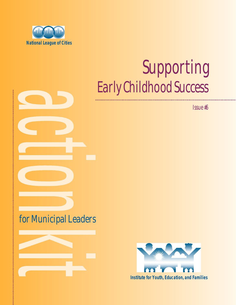

# Early Childhood Success Supporting

Issue #6

## for Municipal Leaders



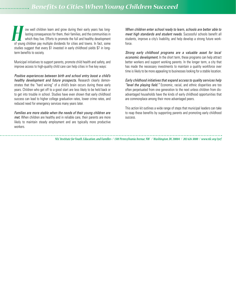ow well children learn and grow during their early years has longlasting consequences for them, their families, and the communities in which they live. Efforts to promote the full and healthy development ow well children learn and grow during their early years has long-<br>lasting consequences for them, their families, and the communities in<br>which they live. Efforts to promote the full and healthy development<br>of young childre studies suggest that every \$1 invested in early childhood yields \$7 in longterm benefits to society.

Municipal initiatives to support parents, promote child health and safety, and improve access to high-quality child care can help cities in five key ways:

*Positive experiences between birth and school entry boost a child's healthy development and future prospects.* Research clearly demonstrates that the "hard wiring" of a child's brain occurs during these early years. Children who get off to a good start are less likely to be held back or to get into trouble in school. Studies have even shown that early childhood success can lead to higher college graduation rates, lower crime rates, and reduced need for emergency services many years later.

*Families are more stable when the needs of their young children are met.* When children are healthy and in reliable care, their parents are more likely to maintain steady employment and are typically more productive workers.

*When children enter school ready to learn, schools are better able to meet high standards and student needs.* Successful schools benefit all students, improve a city's livability, and help develop a strong future workforce.

*Strong early childhood programs are a valuable asset for local economic development.* In the short term, these programs can help attract better workers and support working parents. In the longer term, a city that has made the necessary investments to maintain a quality workforce over time is likely to be more appealing to businesses looking for a stable location.

*Early childhood initiatives that expand access to quality services help "level the playing field."* Economic, racial, and ethnic disparities are too often perpetuated from one generation to the next unless children from disadvantaged households have the kinds of early childhood opportunities that are commonplace among their more advantaged peers.

This action kit outlines a wide range of steps that municipal leaders can take to reap these benefits by supporting parents and promoting early childhood success.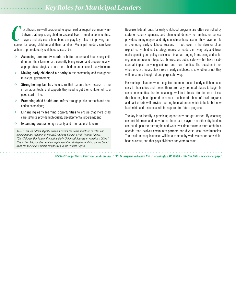ity officials are well positioned to spearhead or support community initiatives that help young children succeed. Even in smaller communities, mayors and city councilmembers can play key roles in improving outcomes for young children and their families. Municipal leaders can take action to promote early childhood success by: Ity officials are well positioned to spearhead or support community ini-<br>
tiatives that help young children succeed. Even in smaller communities,<br>
tiatives that help young children succeed. Even in smaller communities,<br>
co

- $\diamond$  Assessing community needs to better understand how young children and their families are currently being served and prepare locallyappropriate strategies to help more children enter school ready to learn;
- $\Diamond$  Making early childhood a priority in the community and throughout municipal government;
- $\Leftrightarrow$  Strengthening families to ensure that parents have access to the information, tools, and supports they need to get their children off to a good start in life;
- $\diamond$  Promoting child health and safety through public outreach and education campaigns;
- $\Leftrightarrow$  Enhancing early learning opportunities to ensure that more child care settings provide high-quality developmental programs; and
- $\Leftrightarrow$  Expanding access to high-quality and affordable child care.

*NOTE: This list differs slightly from but covers the same spectrum of roles and issues that are explored in the NLC Advisory Council's 2002 Futures Report, "Our Children, Our Future: Promoting Early Childhood Success in America's Cities." This Action Kit provides detailed implementation strategies, building on the broad roles for municipal officials emphasized in the Futures Report.*

state or county agencies and channeled directly to families or service providers, many mayors and city councilmembers assume they have no role in promoting early childhood success. In fact, even in the absence of an explicit early childhood strategy, municipal leaders in every city and town make spending and policy decisions—in areas ranging from zoning and building code enforcement to parks, libraries, and public safety—that have a substantial impact on young children and their families. The question is not whether city officials play a role in early childhood; it is whether or not they will do so in a thoughtful and purposeful way.

For municipal leaders who recognize the importance of early childhood success to their cities and towns, there are many potential places to begin. In some communities, the first challenge will be to focus attention on an issue that has long been ignored. In others, a substantial base of local programs and past efforts will provide a strong foundation on which to build, but new leadership and resources will be required for future progress.

The key is to identify a promising opportunity and get started. By choosing comfortable roles and activities at the outset, mayors and other city leaders can build upon their strengths and work over time toward a more ambitious agenda that involves community partners and diverse local constituencies. The result in many instances will be a community-wide vision for early childhood success, one that pays dividends for years to come.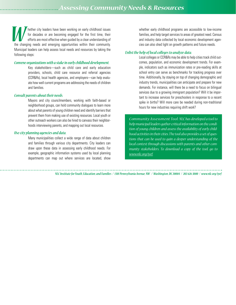hether city leaders have been working on early childhood issues for decades or are becoming engaged for the first time, their efforts are most effective when guided by a clear understanding of The city leaders have been working on early childhood issues for decades or are becoming engaged for the first time, their efforts are most effective when guided by a clear understanding of the changing needs and emerging Municipal leaders can help assess local needs and resources by taking the following steps:

#### *Convene organizations with a stake in early childhood development.*

Key stakeholders—such as child care and early education providers, schools, child care resource and referral agencies (CCR&Rs), local health agencies, and employers—can help evaluate how well current programs are addressing the needs of children and families.

#### *Consult parents about their needs.*

Mayors and city councilmembers, working with faith-based or neighborhood groups, can hold community dialogues to learn more about what parents of young children need and identify barriers that prevent them from making use of existing resources. Local youth or other outreach workers can also be hired to canvass their neighborhoods interviewing parents, and mapping out local resources.

#### *Use city planning agencies and data.*

Many municipalities collect a wide range of data about children and families through various city departments. City leaders can draw upon these data in assessing early childhood needs. For example, geographic information systems used by local planning departments can map out where services are located, show whether early childhood programs are accessible to low-income families, and help target services to areas of greatest need. Census and industry data collected by local economic development agencies can also shed light on growth patterns and future needs.

#### *Enlist the help of local colleges to analyze data.*

Local colleges or CCR&Rs may be able to help cities track child outcomes, population, and economic development trends. For example, indicators such as immunization rates or pre-reading skills at school entry can serve as benchmarks for tracking progress over time. Additionally, by staying on top of changing demographic and industry trends, municipalities can anticipate and prepare for new demands. For instance, will there be a need to focus on bilingual services due to a growing immigrant population? Will it be important to increase services for preschoolers in response to a recent spike in births? Will more care be needed during non-traditional hours for new industries requiring shift work?

*C ommunity Assessment Tool: NLC has developed a tool to help municipal leaders gather critical information on the condition of young children and assess the availability of early childhood activities in their cities. The tool also provides a set of questions that can be used to gain a deeper understanding of the local context through discussions with parents and other community stakeholders. To download a copy of the tool, go to www.nlc.org/iyef.*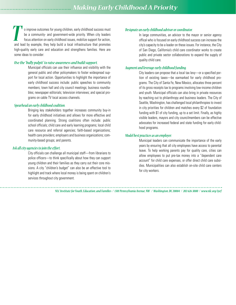o improve outcomes for young children, early childhood success must be a community- and government-wide priority. When city leaders focus attention on early childhood issues, mobilize support for action, o improve outcomes for young children, early childhood success must<br>be a community- and government-wide priority. When city leaders<br>focus attention on early childhood issues, mobilize support for action,<br>and lead by exampl high-quality early care and education and strengthens families. Here are some ideas to consider:

#### *Use the "bully pulpit" to raise awareness and build support.*

Municipal officials can use their influence and visibility with the general public and other policymakers to foster widespread support for local action. Opportunities to highlight the importance of early childhood success include: public speeches to community members; town hall and city council meetings; business roundtables; newspaper editorials; television interviews; and special programs on cable TV local access channels.

#### *Spearhead an early childhood coalition.*

Bringing key stakeholders together increases community buy-in for early childhood initiatives and allows for more effective and coordinated planning. Strong coalitions often include: public school officials; child care and early learning programs; local child care resource and referral agencies; faith-based organizations; health care providers; employers and business organizations; community-based groups; and parents.

#### *Ask all city agencies to join the effort.*

City officials can challenge all municipal staff—from librarians to police officers—to think specifically about how they can support young children and their families as they carry out their core missions. A city "children's budget" can also be an effective tool to highlight and track where local money is being spent on children's services throughout city government.

#### *Designate an early childhood advisor or coordinator.*

In large communities, an advisor to the mayor or senior agency offical who is focused on early childhood success can increase the city's capacity to be a leader on these issues. For instance, the City of San Diego, California's child care coordinator works to create public and private sector collaborations to expand the supply of quality child care.

#### *Augment and leverage early childhood funding.*

City leaders can propose that a local tax levy—or a specified portion of existing taxes—be earmarked for early childhood programs. The City of Santa Fe, New Mexico, allocates three percent of its gross receipts tax to programs involving low-income children and youth. Municipal officials can also bring in private resources by reaching out to philanthropy and business leaders. The City of Seattle, Washington, has challenged local philanthropies to invest in city priorities for children and matches every \$2 of foundation funding with \$1 of city funding, up to a set limit. Finally, as highly visible leaders, mayors and city councilmembers can be effective advocates for increased federal and state funding for early childhood programs.

#### *Model best practices as an employer.*

Municipal leaders can communicate the importance of the early years by ensuring that all city employees have access to parental leave. To help working parents pay for quality care, cities can allow employees to put pre-tax money into a "dependent care account" for child care expenses, or offer direct child care subsidies. Municipalities can also establish on-site child care centers for city workers.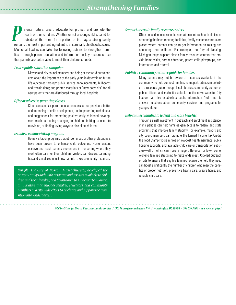arents nurture, teach, advocate for, protect, and promote the health of their children. Whether or not a young child is cared for outside of the home for a portion of the day, a strong family **PERICA** arents nurture, teach, advocate for, protect, and promote the health of their children. Whether or not a young child is cared for outside of the home for a portion of the day, a strong family remains the most impo Municipal leaders can take the following actions to strengthen families—through parent education and information on key resources—so that parents are better able to meet their children's needs:

#### *Lead a public education campaign.*

Mayors and city councilmembers can help get the word out to parents about the importance of the early years in determining future life outcomes through: public service announcements; billboards and transit signs; and printed materials or "new baby kits" for all new parents that are distributed through local hospitals.

#### *Offer or advertise parenting classes.*

Cities can sponsor parent education classes that provide a better understanding of child development, useful parenting techniques, and suggestions for promoting positive early childhood development (such as reading or singing to children, limiting exposure to television, or finding loving ways to discipline children).

#### *Establish a home visiting program.*

Home visitation programs that utilize nurses or other professionals have been proven to enhance child outcomes. Home visitors observe and teach parents one-on-one in the setting where they most often care for their children. Visitors can discuss parenting tips and can also connect new parents to key community resources.

**Example:** The City of Boston, Massachusetts, developed the *Boston Family Guide with activities and services available to children and their families, and Countdown to Kindergarten Boston, an initiative that engages families, educators, and community members in a city-wide effort to celebrate and support the transition into kindergarten.*

#### *Support or create family resource centers.*

Often housed in local schools, recreation centers, health clinics, or other neighborhood meeting facilities, family resource centers are places where parents can go to get information on raising and educating their children. For example, the City of Lansing, Michigan, helps support eleven family resource centers that provide home visits, parent education, parent-child playgroups, and information and referral.

#### *Publish a community resource guide for families.*

Many parents may not be aware of resources available in the community. To help connect families to support, cities can distribute a resource guide through local libraries, community centers or public offices, and make it available on the city's website. City leaders can also establish a public information "help line" to answer questions about community services and programs for young children.

#### *Help connect families to federal and state benefits.*

Through a small investment in outreach and enrollment assistance, municipalities can help families gain access to federal and state programs that improve family stability. For example, mayors and city councilmembers can promote the Earned Income Tax Credit, the Food Stamp Program, free or low-cost health insurance, public housing supports, and available child care or transportation subsidies—all of which can make a huge difference for low-income, working families struggling to make ends meet. City-led outreach efforts to ensure that eligible families receive the help they need can boost significantly the number of children who reap the benefits of proper nutrition, preventive health care, a safe home, and reliable child care.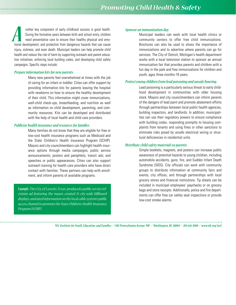nother key component of early childhood success is good health. During the formative years between birth and school entry, children need preventative care to ensure their healthy physical and emotional development, and protection from dangerous hazards that can cause injury, sickness, and even death. Municipal leaders can help promote child health and reduce the risk of harm by supporting outreach and parent education initiatives, enforcing local building codes, and developing child safety campaigns. Specific steps include: **A** *A A* **<b>I EXECUTE:** Interventional development of early childhood success is good health. During the formative years between birth and school entry, children *A A Municipal leaders community centers* ti

#### *Prepare information kits for new parents.*

Many new parents feel overwhelmed at times with the job of caring for an infant or toddler. Cities can offer support by providing information kits for parents leaving the hospital with newborns on how to ensure the healthy development of their child. This information might cover immunizations, well-child check-ups, breastfeeding, and nutrition as well as information on child development, parenting, and community resources. Kits can be developed and distributed with the help of local health and child care providers.

#### *Publicize health insurance and resources for families.*

Many families do not know that they are eligible for free or low-cost health insurance programs such as Medicaid and the State Children's Health Insurance Program (SCHIP). Mayors and city councilmembers can highlight health insurance options through media campaigns; public service announcements; posters and pamphlets; transit ads; and speeches or public appearances. Cities can also support outreach training for health care providers who have direct contact with families. These partners can help with enrollment, and inform parents of available programs.

*Example: The City of Lared o, Texas, produced a public service television ad featuring the mayor, created 25 city-wide billboard displays, and aired information on the local cable system's public access channel to promote the State Children's Health Insurance Program (SCHIP).*

Municipal leaders can work with local health clinics or community centers to offer free child immunizations. Brochures can also be used to stress the importance of immunizations and to advertise where parents can go for services. The City of Detroit, Michigan's health department works with a local television station to sponsor an annual immunization fair that provides parents and children with a fun day in the park and free immunizations for children and youth, ages three months-18 years.

#### *Protect young children from lead poisoning and unsafe housing.*

Lead poisoning is a particularly serious threat to early childhood development in communities with older housing stock. Mayors and city councilmembers can inform parents of the dangers of lead paint and promote abatement efforts through partnerships between local public health agencies, building inspectors, and landlords. In addition, municipalities can use their regulatory powers to ensure compliance with building codes, responding promptly to housing complaints from tenants and using fines or other sanctions to eliminate risks posed by unsafe electrical wiring or structural deficiencies in residential units.

#### *Distribute child safety materials to parents.*

Simple booklets, magnets, and posters can increase public awareness of potential hazards to young children, including automobile accidents, guns, fire, and Sudden Infant Death Syndrome (SIDS). City officials can work with community groups to distribute information at community fairs and events, city offices, and through partnerships with local grocery stores and financial institutions. Tip sheets can be included in municipal employees' paychecks or on grocery bags and store receipts. Additionally, police and fire departments can offer free car safety seat inspections or provide low-cost smoke alarms.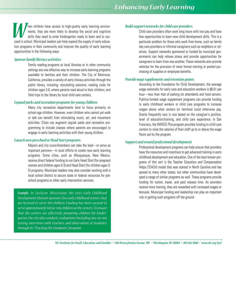hen children have access to high-quality early learning environments, they are more likely to develop the social and cognitive skills they need to enter kindergarten ready to learn and to suc-Then children have access to high-quality early learning environ-<br>ments, they are more likely to develop the social and cognitive<br>skills they need to enter kindergarten ready to learn and to suc-<br>ceed in school. Municipal tion programs in their community and improve the quality of early learning opportunities in the following ways:

#### *Sponsor family literacy activities.*

Family reading programs at local libraries or in other community settings are one effective way to increase early learning programs available to families and their children. The City of Monrovia, California, provides a variety of early literacy activities through the public library, including: storytelling sessions; reading clubs for children ages 3-6, where parents read aloud to their children; and field trips to the library by local child care centers.

#### *Expand parks and recreation programs for young children.*

Many city recreation departments tend to focus primarily on school-age children. However, even children who cannot yet walk or talk can benefit from stimulating music, art, and movement activities. Cities can augment regular parks and recreation programming to include classes where parents are encouraged to engage in early learning activities with their young children.

## *Launch new preschool or Head Start programs. Support and reward professional development.*

Mayors and city councilmembers can take the lead—or serve as important partners—in local efforts to create new early learning programs. Some cities, such as Albuquerque, New Mexico, receive direct federal funding to run Early Head Start (for pregnant women and children ages 0-3) and Head Start (for children ages 3- 5) programs. Municipal leaders may also consider working with a local school district to secure state or federal resources for preschool programs or other early intervention services.

*Example: In Ja c ks on , Mi ssi ssippi, the city's Early Childhood Development Division sponsors five early childhood centers that are licensed to serve 450 children. Funding has been secured to serve approximately 340 at-risk children at the centers. To ensure that the centers are effectively preparing children for kindergarten, the city also conducts evaluations (including one-on-one testing, interviews with teachers, and observation of students) through its "Tracking the Graduates" program.*

#### *Build support networks for child care providers.*

Child care providers often work long hours with low pay and have few opportunities to learn new child development skills. This is a particular problem for those who work from home, such as family day care providers or informal caregivers such as neighbors or relatives. Support networks sponsored or funded by municipal governments can help relieve stress and provide opportunities for caregivers to learn from one another. These networks also provide vehicles for the provision of more formal training or pooled purchasing of supplies or employee benefits.

#### *Provide wage supplements and retention grants.*

According to the Foundation for Child Development, the average wage nationally for early care and education workers is \$6.61 per hour—less than that of parking lot attendants and food servers. Publicly-funded wage supplement programs can provide funding to early childhood workers or child care programs to increase wages above what centers (or families) could otherwise pay. Grants frequently vary in size based on the caregiver's position, level of education/training, and child care experience. In San Francisco, the WAGES *Plus* program provides funding to child care centers to raise the salaries of their staff up to or above the wage floors set by the program.

Professional development programs can help ensure that providers have the resources and incentives to get advanced training in early childhood development and education. One of the best-known programs of this sort is the Teacher Education and Compensation Helps (TEACH) model that was started in North Carolina and has spread to many other states, but other communities have developed a range of similar programs as well. These programs provide funding for tuition, travel, and paid release time. As providers receive more training, they are rewarded with increased wages or bonuses. Municipal funding and leadership can play an important role in getting such programs off the ground.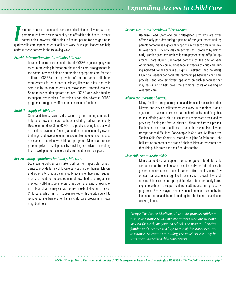n order to be both responsible parents and reliable employees, working parents must have access to quality and affordable child care. In many communities, however, difficulties in finding, paying for, and getting to quality child care impede parents' ability to work. Municipal leaders can help address these barriers in the following ways: *I Develop creative partnerships to fill service gaps.*

#### *Provide information about available child care.*

Local child care resource and referral (CCR&R) agencies play vital roles in collecting information about child care arrangements in the community and helping parents find appropriate care for their children. CCR&Rs also provide information about eligibility requirements for child care subsidies, licensing rules, and child care quality so that parents can make more informed choices. Some municipalities operate the local CCR&R or provide funding to support key services. City officials can also advertise CCR&R programs through city offices and community facilities.

#### *Build the supply of child care.*

Cities and towns have used a wide range of funding sources to help build new child care facilities, including federal Community Development Block Grant (CDBG) and public housing funds as well as local tax revenues. Direct grants, donated space in city-owned buildings, and revolving loan funds can also provide much-needed assistance to start new child care programs. Municipalities can promote private development by providing incentives or requiring local developers to include child care facilities in their plans.

#### *Review zoning regulations for family child care.*

Local zoning policies can make it difficult or impossible for residents to provide family child care services in their homes. Mayors and other city officials can modify zoning or licensing requirements to facilitate the development of new child care programs in previously off-limits commercial or residential areas. For example, in Philadelphia, Pennsylvania, the mayor established an Office of Child Care, which in its first year worked with the city council to remove zoning barriers for family child care programs in local neighborhoods.

Because Head Start and pre-kindergarten programs are often offered only part-day during a portion of the year, many working parents forgo these high-quality options in order to obtain full-day, full-year care. City officials can address this problem by linking early learning programs with child care providers that offer "wraparound" care during uncovered portions of the day or year. Additionally, many communities face shortages of child care during non-traditional hours (i.e., nights, weekends, and holidays). Municipal leaders can facilitate partnerships between child care providers and local employers operating on such schedules that may be willing to help cover the additional costs of evening or weekend care.

#### *Address transportation barriers.*

Many families struggle to get to and from child care facilities. Mayors and city councilmembers can work with regional transit agencies to overcome transportation barriers by modifying bus routes, offering van or shuttle service to underserved areas, and by providing funding for fare vouchers or discounted transit passes. Establishing child care facilities at transit hubs can also alleviate transportation difficulties. For example, in San Jose, California, the Tamien Child Care Center is located at a joint CalTrain and Light Rail station so parents can drop off their children at the center and then ride public transit to their final destination.

#### *Make child care more affordable.*

Municipal leaders can support the use of general funds for child care subsidies to families who do not qualify for federal or state government assistance but still cannot afford quality care. City officials can also encourage local businesses to provide low-cost, on-site child care, or set up a public-private fund for "early learning scholarships" to support children's attendance in high-quality programs. Finally, mayors and city councilmembers can lobby for increased state and federal funding for child care subsidies to working families.

*Example: The City of Madison , W iscon si n, provides child care tuition assistance to low-income parents who are working, looking for work, or going to school. The program benefits families with incomes too high to qualify for state or county assistance. To emphasize quality, the vouchers can only be used at city-accredited child care centers.*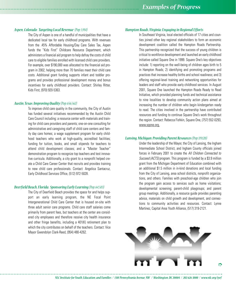#### *Aspen, Colorado: Targeting Local Revenue (Pop. 5,914)*

The City of Aspen is one of a handful of municipalities that have a dedicated local tax for early childhood programs. With revenues from the .45% Affordable Housing/Day Care Sales Tax, Aspen funds the "Kids First" Childcare Resource Department, which administers a financial aid program to help defray the costs of child care to eligible families enrolled with licensed child care providers. For example, over \$190,000 was allocated to the financial aid program in 2002, helping more than 70 families meet their child care costs. Additional grant funding supports infant and toddler programs and provides professional development money and bonus incentives for early childhood providers. Contact: Shirley Ritter, Kids First, (970) 920-5363.

#### *Austin, Texas: Improving Quality(Pop. 656,562)*

To improve child care quality in the community, the City of Austin has funded several initiatives recommended by the Austin Child Care Council including: a resource center with materials and training for child care providers and parents; one-on-one consulting for administrative and caregiving staff of child care centers and family day care homes; a wage supplement program for early childhood teachers who work at high-quality, accredited facilities; funding for tuition, books, and small stipends for teachers to attend child development classes; and a "Master Teacher" demonstration program to recognize top teachers and test innovative curricula. Additionally, a city grant to a nonprofit helped create a Child Care Career Center that recruits and provides training to new child care professionals. Contact: Angelica Santacruz, Early Childhood Services Office, (512) 972-5028.

#### *Deerfield Beach, Florida: Sponsoring Early Learning(Pop. 64,583)*

The City of Deerfield Beach provides the space for and helps support an early learning program, the NE Focal Point Intergenerational Child Care Center that is housed on-site with three adult senior care programs. Child care staff salaries come primarily from parent fees, but teachers at the center are considered city employees and therefore receive city health insurance and other fringe benefits, including a 401(K) retirement plan to which the city contributes on behalf of the teachers. Contact: Vice Mayor Gwendolyn Clark-Reed, (954) 480-4262.

#### *Hampton Roads, Virginia: Engaging in Regional Efforts*

In Southeast Virginia, local elected officials of 17 cities and counties joined other key regional stakeholders to form an economic development coalition called the Hampton Roads Partnership. This partnership recognized that the success of young children is critical to workforce development and launched an early childhood initiative called Square One in 1999. Square One's key objectives include: 1) reporting on the well-being of children ages birth to 5 in Hampton Roads; 2) identifying and promoting programs and practices that increase healthy births and school readiness; and 3) offering regional-level training and networking opportunities for leaders and staff who provide early childhood services. In August 2001, Square One launched the Hampton Roads Ready to Read Initiative, which provided planning funds and technical assistance to nine localities to develop community action plans aimed at increasing the number of children who begin kindergarten ready to read. The cities involved in the partnership have contributed resources and funding to continue Square One's work throughout the region. Contact: Rebecca Fishkin, Square One, (757) 552-0293, www.sqone.org.

#### *Lansing, Michigan: Providing Parent Resources(Pop. 119,128)*

Under the leadership of the Mayor, the City of Lansing, the Ingham Intermediate School District, and Ingham County officials joined forces in February 2001 to create the *All Children Connected to Succeed (ACTS)* program. This program is funded by a \$3.9 million grant from the Michigan Department of Education combined with an additional \$1.5 million in in-kind donations and local funding from the City of Lansing, area school districts, nonprofit organizations, and others. Families with preschool-age children who join the program gain access to services such as home visitations; developmental screening; parent-child playgroups; and parent group meetings. Additionally, a resource guide provides parenting advice, materials on child growth and development, and connections to community activities and resources. Contact: Lynne Martinez, Capital Area Youth Alliance, (517) 319-2121.

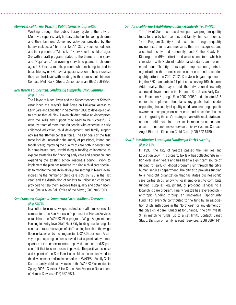#### *Monrovia, California: Utilizing Public Libraries (Pop. 36,929)*

Working through the public library system, the City of Monrovia supports early literacy activities for young children and their families. Some key activities provided by the library include: a "Time for Two's" Story Hour for toddlers and their parents; a "Munchkin" Story Hour for children ages 3-5 with a craft program related to the theme of the story; and "Pajamania," an evening story time geared to children ages 4-7. Once a month, parents who are being tutored in basic literacy or ESL have a special session to help increase their comfort level with reading to their preschool children. Contact: Melinda K. Steep, Senior Librarian, (626) 256-8254.

## *New Haven, Connecticut: Conducting Comprehensive Planning*

#### *(Pop. 123,626)*

The Mayor of New Haven and the Superintendent of Schools established the Mayor's Task Force on Universal Access to Early Care and Education in September 2000 to develop a plan to ensure that all New Haven children arrive at kindergarten with the skills and support they need to be successful. A resource team of more than 60 people with expertise in early childhood education, child development, and family support advises the 18-member task force. The key goals of the task force include: increasing the supply of preschool, infant, and toddler care; improving the quality of care both in centers and in home-based care; establishing a funding collaborative to explore strategies for financing early care and education; and expanding the existing school readiness council. Work to implement the plan has resulted in: hiring a child care specialist to monitor the quality in all daycare settings in New Haven; increasing the number of child care slots by 123 in the last year; and the distribution of toolkits to unlicensed child care providers to help them improve their quality and obtain licensure. Sheila Allen Bell, Office of the Mayor, (203) 946-7909.

#### *San Francisco, California: Supporting Early Childhood Teachers (Pop. 776,733)*

In an effort to increase wages and reduce staff turnover in child care centers, the San Francisco Department of Human Services established the WAGES Plus program (Wage Augmentation Funding for Entry-level Staff Plus). City funding enables eligible centers to raise the wages of staff earning less than the wage floors established by the program (up to \$17.05 per hour). A survey of participating centers showed that approximately threequarters of the centers reported improved retention, and 82 percent felt that teacher morale improved. The positive response and support of the San Francisco child care community led to the development and implementation of WAGES + Family Child Care, a family child care version of the WAGES Plus model, in Spring 2002. Contact: Elise Crane, San Francisco Department of Human Services, (415) 557-5671.

#### *San Jose, California: Establishing Quality Standards(Pop. 894,943)*

The City of San Jose has developed two program quality tools for use by both centers and family child care homes: 1) the Program Quality Standards, a list of program quality review instruments and measures that are recognized and accepted locally and nationally; and 2) the Ready For Kindergarten (RFK) criteria and assessment tool, which is consistent with State of California standards and recommendations. The city offers capital improvement grants to organizations that meet specific early care and education quality criteria. In 2001-2002, San Jose began implementing the RFK standards in 21 pilot sites serving 160 children. Additionally, the mayor and the city council recently approved "Investment in the Future—San Jose's Early Care and Education Strategic Plan 2002-2006" and allocated \$15 million to implement the plan's key goals that include: expanding the supply of quality child care; creating a public awareness campaign on early care and education issues; and integrating the city's strategic plan with local, state and national initiatives in order to increase resources and ensure a comprehensive service delivery system. Contact: Angel Rios, Jr., Office on Child Care, (408) 392-6750.

### *Seattle, Washington: Leveraging Funding for Early Learning*

#### *(Pop. 563,374)*

In 1990, the City of Seattle passed the Families and Education Levy. This property tax levy has collected \$69 million over seven years and has been a significant source of funding for early childhood programs run through the city's human services department. The city also provides funding to a nonprofit organization that facilitates business-child care partnerships, allowing local employers to contribute funding, supplies, equipment, or pro-bono services to a local child care program. Finally, Seattle has leveraged philanthropic funding through an innovative "Opportunity Fund." For every \$2 contributed to the fund by an association of philanthropies in the Northwest for any element of the city's child care "Blueprint for Change," the city invests \$1 in matching funds (up to a set limit). Contact: Janet Staub, Division of Family & Youth Services, (206) 386-1141.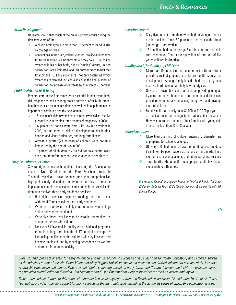#### *Brain Development*

Research shows that much of the brain's growth occurs during the first few years of life.

- $\diamond$  A child's brain grows to more than 90 percent of its adult size by the age of three.
- ✧ Connections in the brain, called synapses, provide a foundation for future learning. An eight-month-old may have 1,000 trillion synapses in his or her brain, but as "pruning" occurs, unused connections are eliminated, and this number drops to half that total by age 10. Early experiences not only determine which synapses are retained, but can also cause the final number of connections to increase or decrease by as much as 25 percent.

#### *Child Health and Well-being*

Prenatal care in the first trimester is essential in identifying highrisk pregnancies and ensuring proper nutrition. After birth, proper health care, such as immunizations and well-child appointments, is important to continued healthy development.

- $\diamond$  17 percent of children were born to mothers who did not receive prenatal care in the first three months of pregnancy in 2000.
- $\Diamond$  7.6 percent of babies were born with low-birth weight in 2000, putting them at risk of developmental disabilities, hearing and visual difficulties, and long-term illness.
- $\Leftrightarrow$  Almost a quarter (23 percent) of children were not fully immunized by the age of two in 2001.
- $\diamond$  12 percent of all children in 2001 did not have health insurance, and therefore may not receive adequate health care.

#### *Early Learning Experiences*

Several rigorous research studies—including the Abecedarian study in North Carolina and the Perry Preschool project in Ypsilanti, Michigan—have demonstrated that comprehensive, high-quality early educational intervention can have a dramatic impact on academic and social outcomes for children. At-risk children who received these early childhood services:

- $\Leftrightarrow$  Had higher scores on cognitive, reading, and math tests, with the differences evident into early adulthood;
- $\diamond$  Were more than twice as likely to attend a four-year college and to delay parenthood; and
- $\Diamond$  Were five times less likely to be chronic lawbreakers as adults than those who did not.
- $\diamond$  For every \$1 invested in quality early childhood programs, there is a long-term benefit of \$7 in public savings by increasing the likelihood that children will stay in school and become employed, and by reducing dependence on welfare and arrests for criminal activity.

#### *Working Parents*

- Sixty-five percent of mothers with children younger than six are in the labor force; 59 percent of mothers with infants (under age 1) are working.
- $\Diamond$  12.4 million children under age 5 are in some form of child care each week. That is the equivalent of three out of five young children in America.

#### *Quality and Affordability of Child Care*

- $\diamond$  More than 10 percent of care centers in the United States provide care that jeopardizes children's health, safety, and development. Among family-based child care programs, nearly a third provide harmfully low-quality care.
- Only one in seven U.S. child care centers provide good quality care, and only about one in ten home-based child care providers were actually enhancing the growth and development of children.
- $\diamond$  Full day child care easily costs \$4,000 to \$10,000 per year at least as much as college tuition at a public university. However, more than one out of four families with young children earns less than \$25,000 a year.

#### *School Readiness*

- $\diamond$  More than one-third of children entering kindergarten are unprepared for school challenges.
- $\diamond$  Of every 100 children who leave first grade as poor readers, 88 still will be poor readers at the end of third grade, limiting their chances of academic and future workforce success.
- $\Diamond$  Three-fourths (75 percent) of unemploved adults have reading or writing difficulties.

*Key sources: Federal Interagency Forum on Child and Family Statistics; Children's Defense Fund; Child Trends; National Research Council; US Census Bureau.*

 $\Rightarrow$ 

*Julie Bosland, program director for early childhood and family economic success at NLC's Institute for Youth, Education, and Families, served as the principal author of this kit. Kirsta Millar and Abby Hughes Holsclaw conducted research and drafted substantial portions of the kit's text. Audrey M. Hutchinson and John E. Kyle provided helpful comments based on early drafts, and Clifford Johnson, the Institute's executive director, provided overall editorial direction. Jan Hammett and Susan Chamberlain were responsible for the kit's design and layout.* 

*Preparation and distribution of this action kit were made possible by a grant from the David and Lucile Packard Foundation. The Annie E. Casey Foundation provides financial support for many aspects of the Institute's work, including the action kit series of which this publication is a part.*